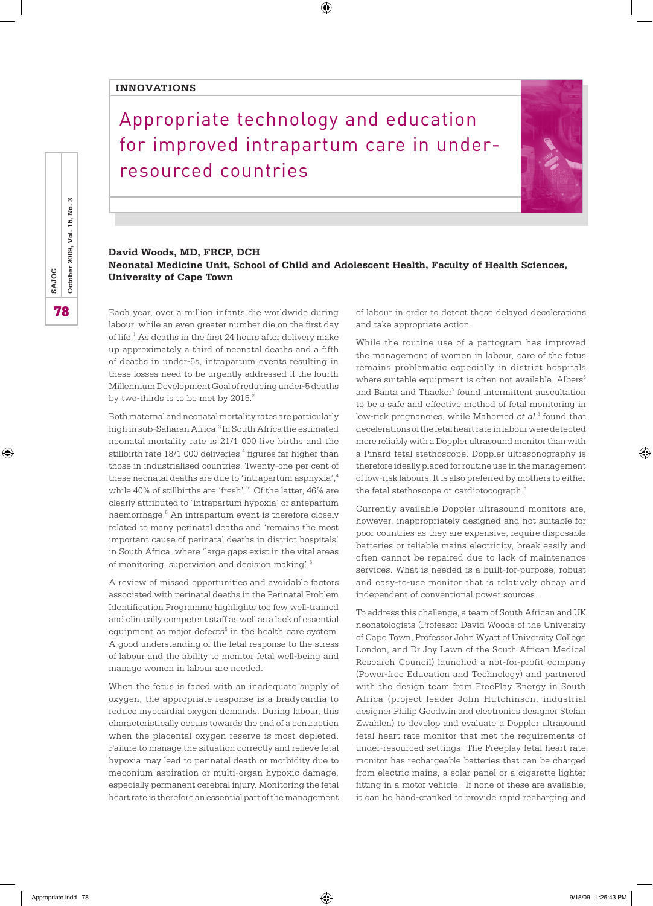## **INNOVATIONS**

## Appropriate technology and education for improved intrapartum care in underresourced countries

 $\bigoplus$ 



## **David Woods, MD, FRCP, DCH Neonatal Medicine Unit, School of Child and Adolescent Health, Faculty of Health Sciences, University of Cape Town**

Each year, over a million infants die worldwide during labour, while an even greater number die on the first day of life.<sup>1</sup> As deaths in the first 24 hours after delivery make up approximately a third of neonatal deaths and a fifth of deaths in under-5s, intrapartum events resulting in these losses need to be urgently addressed if the fourth Millennium Development Goal of reducing under-5 deaths by two-thirds is to be met by 2015.<sup>2</sup>

Both maternal and neonatal mortality rates are particularly high in sub-Saharan Africa.<sup>3</sup> In South Africa the estimated neonatal mortality rate is 21/1 000 live births and the stillbirth rate  $18/1$  000 deliveries, $4$  figures far higher than those in industrialised countries. Twenty-one per cent of these neonatal deaths are due to 'intrapartum asphyxia',<sup>4</sup> while 40% of stillbirths are 'fresh'.<sup>5</sup> Of the latter, 46% are clearly attributed to 'intrapartum hypoxia' or antepartum haemorrhage.<sup>5</sup> An intrapartum event is therefore closely related to many perinatal deaths and 'remains the most important cause of perinatal deaths in district hospitals' in South Africa, where 'large gaps exist in the vital areas of monitoring, supervision and decision making'.5

A review of missed opportunities and avoidable factors associated with perinatal deaths in the Perinatal Problem Identification Programme highlights too few well-trained and clinically competent staff as well as a lack of essential equipment as major defects<sup>5</sup> in the health care system. A good understanding of the fetal response to the stress of labour and the ability to monitor fetal well-being and manage women in labour are needed.

When the fetus is faced with an inadequate supply of oxygen, the appropriate response is a bradycardia to reduce myocardial oxygen demands. During labour, this characteristically occurs towards the end of a contraction when the placental oxygen reserve is most depleted. Failure to manage the situation correctly and relieve fetal hypoxia may lead to perinatal death or morbidity due to meconium aspiration or multi-organ hypoxic damage, especially permanent cerebral injury. Monitoring the fetal heart rate is therefore an essential part of the management of labour in order to detect these delayed decelerations and take appropriate action.

While the routine use of a partogram has improved the management of women in labour, care of the fetus remains problematic especially in district hospitals where suitable equipment is often not available. Albers<sup>6</sup> and Banta and Thacker<sup>7</sup> found intermittent auscultation to be a safe and effective method of fetal monitoring in low-risk pregnancies, while Mahomed *et al*. 8 found that decelerations of the fetal heart rate in labour were detected more reliably with a Doppler ultrasound monitor than with a Pinard fetal stethoscope. Doppler ultrasonography is therefore ideally placed for routine use in the management of low-risk labours. It is also preferred by mothers to either the fetal stethoscope or cardiotocograph.<sup>9</sup>

Currently available Doppler ultrasound monitors are, however, inappropriately designed and not suitable for poor countries as they are expensive, require disposable batteries or reliable mains electricity, break easily and often cannot be repaired due to lack of maintenance services. What is needed is a built-for-purpose, robust and easy-to-use monitor that is relatively cheap and independent of conventional power sources.

To address this challenge, a team of South African and UK neonatologists (Professor David Woods of the University of Cape Town, Professor John Wyatt of University College London, and Dr Joy Lawn of the South African Medical Research Council) launched a not-for-profit company (Power-free Education and Technology) and partnered with the design team from FreePlay Energy in South Africa (project leader John Hutchinson, industrial designer Philip Goodwin and electronics designer Stefan Zwahlen) to develop and evaluate a Doppler ultrasound fetal heart rate monitor that met the requirements of under-resourced settings. The Freeplay fetal heart rate monitor has rechargeable batteries that can be charged from electric mains, a solar panel or a cigarette lighter fitting in a motor vehicle. If none of these are available, it can be hand-cranked to provide rapid recharging and

⊕

⊕